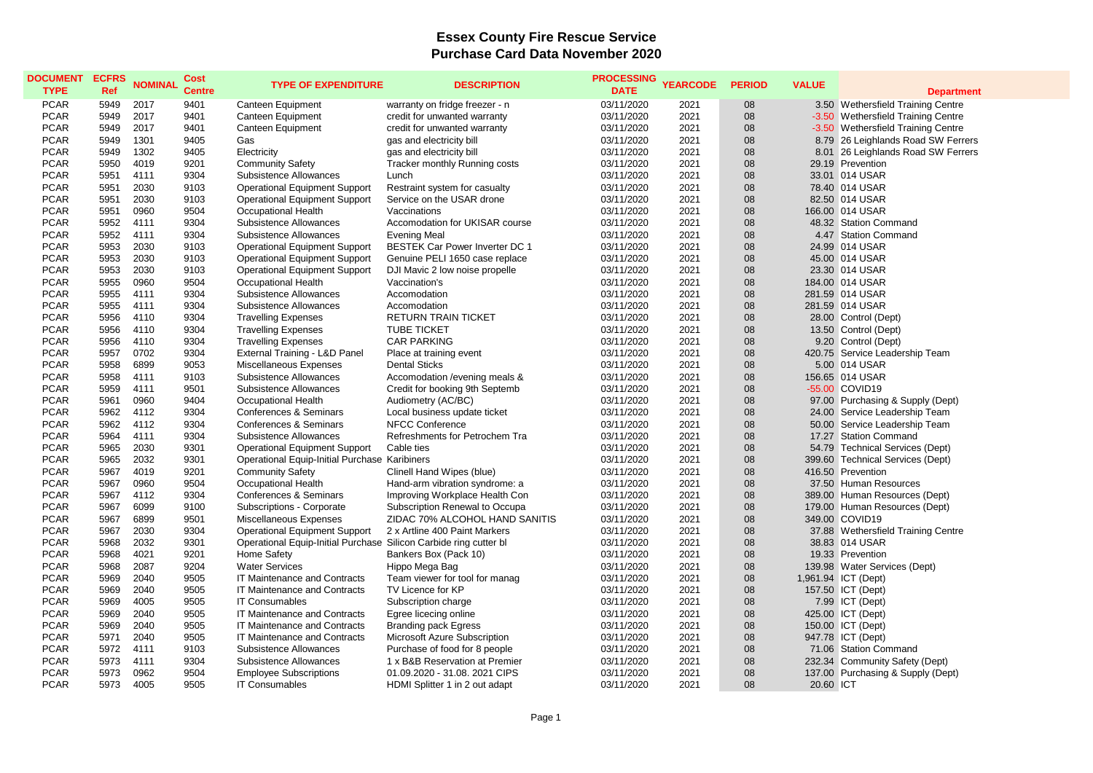## **Essex County Fire Rescue Service Purchase Card Data November 2020**

| 03/11/2020<br><b>PCAR</b><br>5949<br>2017<br>9401<br>warranty on fridge freezer - n<br>2021<br>08<br>3.50 Wethersfield Training Centre<br><b>Canteen Equipment</b><br><b>PCAR</b><br>5949<br>2017<br>9401<br>03/11/2020<br>2021<br>08<br>-3.50 Wethersfield Training Centre<br><b>Canteen Equipment</b><br>credit for unwanted warranty<br><b>PCAR</b><br>5949<br>2017<br>9401<br><b>Canteen Equipment</b><br>credit for unwanted warranty<br>03/11/2020<br>2021<br>08<br>-3.50 Wethersfield Training Centre<br><b>PCAR</b><br>5949<br>08<br>1301<br>9405<br>Gas<br>gas and electricity bill<br>03/11/2020<br>2021<br>8.79 26 Leighlands Road SW Ferrers<br>08<br><b>PCAR</b><br>5949<br>1302<br>9405<br>2021<br>8.01 26 Leighlands Road SW Ferrers<br>Electricity<br>gas and electricity bill<br>03/11/2020<br><b>PCAR</b><br>5950<br>4019<br>9201<br><b>Community Safety</b><br>03/11/2020<br>2021<br>08<br>29.19 Prevention<br>Tracker monthly Running costs<br><b>PCAR</b><br>5951<br>4111<br>9304<br><b>Subsistence Allowances</b><br>03/11/2020<br>2021<br>08<br>33.01 014 USAR<br>Lunch<br><b>PCAR</b><br>5951<br>2030<br>2021<br>08<br>78.40 014 USAR<br>9103<br><b>Operational Equipment Support</b><br>Restraint system for casualty<br>03/11/2020<br><b>PCAR</b><br>5951<br>2030<br>9103<br>03/11/2020<br>2021<br>08<br>82.50 014 USAR<br><b>Operational Equipment Support</b><br>Service on the USAR drone<br><b>PCAR</b><br>5951<br>0960<br>9504<br>2021<br>08<br>166.00 014 USAR<br><b>Occupational Health</b><br>Vaccinations<br>03/11/2020<br><b>PCAR</b><br>08<br>5952<br>4111<br>9304<br>Subsistence Allowances<br>Accomodation for UKISAR course<br>03/11/2020<br>2021<br>48.32 Station Command<br><b>PCAR</b><br>5952<br>4111<br>9304<br>2021<br>08<br>4.47 Station Command<br>Subsistence Allowances<br><b>Evening Meal</b><br>03/11/2020<br><b>PCAR</b><br>5953<br>2030<br>9103<br><b>Operational Equipment Support</b><br><b>BESTEK Car Power Inverter DC 1</b><br>03/11/2020<br>2021<br>08<br>24.99 014 USAR<br><b>PCAR</b><br>2030<br>08<br>5953<br>9103<br><b>Operational Equipment Support</b><br>Genuine PELI 1650 case replace<br>03/11/2020<br>2021<br>45.00 014 USAR<br><b>PCAR</b><br>2030<br>08<br>5953<br>9103<br><b>Operational Equipment Support</b><br>DJI Mavic 2 low noise propelle<br>03/11/2020<br>2021<br>23.30 014 USAR<br><b>PCAR</b><br>5955<br>0960<br>9504<br>Occupational Health<br>03/11/2020<br>2021<br>08<br>184.00 014 USAR<br>Vaccination's<br><b>PCAR</b><br>08<br>5955<br>4111<br>9304<br>Subsistence Allowances<br>Accomodation<br>03/11/2020<br>2021<br>281.59 014 USAR<br><b>PCAR</b><br>5955<br>08<br>4111<br>9304<br>Subsistence Allowances<br>Accomodation<br>03/11/2020<br>2021<br>281.59 014 USAR<br><b>PCAR</b><br>9304<br>08<br>5956<br>4110<br><b>RETURN TRAIN TICKET</b><br>03/11/2020<br>2021<br>28.00 Control (Dept)<br><b>Travelling Expenses</b><br><b>PCAR</b><br>5956<br>4110<br>9304<br>03/11/2020<br>2021<br>08<br><b>Travelling Expenses</b><br><b>TUBE TICKET</b><br>13.50 Control (Dept)<br>08<br><b>PCAR</b><br>5956<br>4110<br>9304<br><b>Travelling Expenses</b><br><b>CAR PARKING</b><br>03/11/2020<br>2021<br>9.20 Control (Dept)<br><b>PCAR</b><br>5957<br>0702<br>9304<br>External Training - L&D Panel<br>2021<br>08<br>Place at training event<br>03/11/2020<br>420.75 Service Leadership Team<br><b>PCAR</b><br>5958<br>6899<br>9053<br>Miscellaneous Expenses<br><b>Dental Sticks</b><br>03/11/2020<br>2021<br>08<br>5.00 014 USAR<br><b>PCAR</b><br>5958<br>4111<br>9103<br><b>Subsistence Allowances</b><br>03/11/2020<br>2021<br>08<br>156.65 014 USAR<br>Accomodation / evening meals &<br><b>PCAR</b><br>08<br>5959<br>4111<br>9501<br>Credit for booking 9th Septemb<br>03/11/2020<br>2021<br>-55.00 COVID19<br>Subsistence Allowances<br><b>PCAR</b><br>5961<br>0960<br>9404<br>03/11/2020<br>2021<br>08<br>97.00 Purchasing & Supply (Dept)<br><b>Occupational Health</b><br>Audiometry (AC/BC)<br><b>PCAR</b><br>08<br>5962<br>4112<br>9304<br>Conferences & Seminars<br>Local business update ticket<br>03/11/2020<br>2021<br>24.00 Service Leadership Team<br><b>PCAR</b><br>Conferences & Seminars<br>08<br>50.00 Service Leadership Team<br>5962<br>4112<br>9304<br><b>NFCC Conference</b><br>03/11/2020<br>2021<br><b>PCAR</b><br>9304<br>2021<br>08<br>5964<br>4111<br>Subsistence Allowances<br>Refreshments for Petrochem Tra<br>03/11/2020<br>17.27 Station Command<br><b>PCAR</b><br>5965<br>2030<br>9301<br>Cable ties<br>03/11/2020<br>2021<br>08<br>54.79 Technical Services (Dept)<br><b>Operational Equipment Support</b><br>08<br><b>PCAR</b><br>5965<br>2032<br>9301<br>Operational Equip-Initial Purchase Karibiners<br>03/11/2020<br>2021<br>399.60 Technical Services (Dept)<br><b>PCAR</b><br>5967<br>4019<br>9201<br>2021<br>08<br><b>Community Safety</b><br>Clinell Hand Wipes (blue)<br>03/11/2020<br>416.50 Prevention<br><b>PCAR</b><br>5967<br>0960<br>9504<br>2021<br>08<br><b>Occupational Health</b><br>Hand-arm vibration syndrome: a<br>03/11/2020<br>37.50 Human Resources<br><b>PCAR</b><br>5967<br>4112<br>9304<br>03/11/2020<br>2021<br>08<br>Conferences & Seminars<br>Improving Workplace Health Con<br>389.00 Human Resources (Dept)<br><b>PCAR</b><br>08<br>5967<br>6099<br>9100<br>Subscriptions - Corporate<br>03/11/2020<br>2021<br>179.00 Human Resources (Dept)<br>Subscription Renewal to Occupa<br>08<br><b>PCAR</b><br>5967<br>6899<br>9501<br>Miscellaneous Expenses<br>ZIDAC 70% ALCOHOL HAND SANITIS<br>03/11/2020<br>2021<br>349.00 COVID19<br><b>PCAR</b><br>08<br>5967<br>2030<br>9304<br><b>Operational Equipment Support</b><br>2 x Artline 400 Paint Markers<br>03/11/2020<br>2021<br>37.88 Wethersfield Training Centre<br><b>PCAR</b><br>5968<br>2032<br>Operational Equip-Initial Purchase Silicon Carbide ring cutter bl<br>08<br>9301<br>03/11/2020<br>2021<br>38.83 014 USAR<br><b>PCAR</b><br>5968<br>4021<br>08<br>9201<br>Home Safety<br>Bankers Box (Pack 10)<br>03/11/2020<br>2021<br>19.33 Prevention<br><b>PCAR</b><br>5968<br>2087<br>9204<br><b>Water Services</b><br>03/11/2020<br>2021<br>08<br>Hippo Mega Bag<br>139.98 Water Services (Dept)<br>08<br><b>PCAR</b><br>5969<br>2040<br>9505<br>IT Maintenance and Contracts<br>Team viewer for tool for manag<br>03/11/2020<br>2021<br>1,961.94 ICT (Dept)<br><b>PCAR</b><br>5969<br>2040<br>9505<br>IT Maintenance and Contracts<br>TV Licence for KP<br>03/11/2020<br>2021<br>08<br>157.50 ICT (Dept)<br><b>PCAR</b><br>4005<br>9505<br>08<br>5969<br><b>IT Consumables</b><br>03/11/2020<br>2021<br>7.99 ICT (Dept)<br>Subscription charge<br><b>PCAR</b><br>5969<br>2040<br>9505<br>2021<br>08<br>IT Maintenance and Contracts<br>Egree licecing online<br>03/11/2020<br>425.00 ICT (Dept)<br>08<br><b>PCAR</b><br>5969<br>2040<br>9505<br>IT Maintenance and Contracts<br><b>Branding pack Egress</b><br>03/11/2020<br>2021<br>150.00 ICT (Dept)<br><b>PCAR</b><br>5971<br>2040<br>9505<br>2021<br>08<br>IT Maintenance and Contracts<br>Microsoft Azure Subscription<br>03/11/2020<br>947.78 ICT (Dept)<br><b>PCAR</b><br>5972<br>4111<br>9103<br>Subsistence Allowances<br>Purchase of food for 8 people<br>03/11/2020<br>2021<br>08<br>71.06 Station Command<br><b>PCAR</b><br>5973<br>4111<br>9304<br><b>Subsistence Allowances</b><br>1 x B&B Reservation at Premier<br>03/11/2020<br>2021<br>08<br>232.34 Community Safety (Dept)<br><b>PCAR</b><br>5973<br>08<br>0962<br>9504<br><b>Employee Subscriptions</b><br>01.09.2020 - 31.08. 2021 CIPS<br>03/11/2020<br>2021<br>137.00 Purchasing & Supply (Dept)<br><b>PCAR</b><br>5973<br>4005<br>9505<br>03/11/2020<br>2021<br>08<br><b>IT Consumables</b><br>HDMI Splitter 1 in 2 out adapt<br>20.60 ICT | <b>DOCUMENT</b><br><b>TYPE</b> | <b>ECFRS</b><br>Ref | <b>NOMINAL</b> | <b>Cost</b><br><b>Centre</b> | <b>TYPE OF EXPENDITURE</b> | <b>DESCRIPTION</b> | <b>PROCESSING</b><br><b>DATE</b> | <b>YEARCODE</b> | <b>PERIOD</b> | <b>VALUE</b> | <b>Department</b> |
|------------------------------------------------------------------------------------------------------------------------------------------------------------------------------------------------------------------------------------------------------------------------------------------------------------------------------------------------------------------------------------------------------------------------------------------------------------------------------------------------------------------------------------------------------------------------------------------------------------------------------------------------------------------------------------------------------------------------------------------------------------------------------------------------------------------------------------------------------------------------------------------------------------------------------------------------------------------------------------------------------------------------------------------------------------------------------------------------------------------------------------------------------------------------------------------------------------------------------------------------------------------------------------------------------------------------------------------------------------------------------------------------------------------------------------------------------------------------------------------------------------------------------------------------------------------------------------------------------------------------------------------------------------------------------------------------------------------------------------------------------------------------------------------------------------------------------------------------------------------------------------------------------------------------------------------------------------------------------------------------------------------------------------------------------------------------------------------------------------------------------------------------------------------------------------------------------------------------------------------------------------------------------------------------------------------------------------------------------------------------------------------------------------------------------------------------------------------------------------------------------------------------------------------------------------------------------------------------------------------------------------------------------------------------------------------------------------------------------------------------------------------------------------------------------------------------------------------------------------------------------------------------------------------------------------------------------------------------------------------------------------------------------------------------------------------------------------------------------------------------------------------------------------------------------------------------------------------------------------------------------------------------------------------------------------------------------------------------------------------------------------------------------------------------------------------------------------------------------------------------------------------------------------------------------------------------------------------------------------------------------------------------------------------------------------------------------------------------------------------------------------------------------------------------------------------------------------------------------------------------------------------------------------------------------------------------------------------------------------------------------------------------------------------------------------------------------------------------------------------------------------------------------------------------------------------------------------------------------------------------------------------------------------------------------------------------------------------------------------------------------------------------------------------------------------------------------------------------------------------------------------------------------------------------------------------------------------------------------------------------------------------------------------------------------------------------------------------------------------------------------------------------------------------------------------------------------------------------------------------------------------------------------------------------------------------------------------------------------------------------------------------------------------------------------------------------------------------------------------------------------------------------------------------------------------------------------------------------------------------------------------------------------------------------------------------------------------------------------------------------------------------------------------------------------------------------------------------------------------------------------------------------------------------------------------------------------------------------------------------------------------------------------------------------------------------------------------------------------------------------------------------------------------------------------------------------------------------------------------------------------------------------------------------------------------------------------------------------------------------------------------------------------------------------------------------------------------------------------------------------------------------------------------------------------------------------------------------------------------------------------------------------------------------------------------------------------------------------------------------------------------------------------------------------------------------------------------------------------------------------------------------------------------------------------------------------------------------------------------------------------------------------------------------------------------------------------------------------------------------------------------------------------------------------------------------------------------------------------------------------------------------------------------------------------------------------------------------------------------------------------------------------------------------------------------------------------------------------------------------------------------------------------------------------------------------------------------------------------------------------------------------------------------------------------------------------------------------------------------------------------------------------------------------------------------------------------------------------------------------------------------------------------------------------------------------------------------------------------------------------------------------------------------------------------------------------------------------------------------------------------------------------------------------------|--------------------------------|---------------------|----------------|------------------------------|----------------------------|--------------------|----------------------------------|-----------------|---------------|--------------|-------------------|
|                                                                                                                                                                                                                                                                                                                                                                                                                                                                                                                                                                                                                                                                                                                                                                                                                                                                                                                                                                                                                                                                                                                                                                                                                                                                                                                                                                                                                                                                                                                                                                                                                                                                                                                                                                                                                                                                                                                                                                                                                                                                                                                                                                                                                                                                                                                                                                                                                                                                                                                                                                                                                                                                                                                                                                                                                                                                                                                                                                                                                                                                                                                                                                                                                                                                                                                                                                                                                                                                                                                                                                                                                                                                                                                                                                                                                                                                                                                                                                                                                                                                                                                                                                                                                                                                                                                                                                                                                                                                                                                                                                                                                                                                                                                                                                                                                                                                                                                                                                                                                                                                                                                                                                                                                                                                                                                                                                                                                                                                                                                                                                                                                                                                                                                                                                                                                                                                                                                                                                                                                                                                                                                                                                                                                                                                                                                                                                                                                                                                                                                                                                                                                                                                                                                                                                                                                                                                                                                                                                                                                                                                                                                                                                                                                                                                                                                                                                                                                                                                                                                                                                                                                                                                                                                                                                                                |                                |                     |                |                              |                            |                    |                                  |                 |               |              |                   |
|                                                                                                                                                                                                                                                                                                                                                                                                                                                                                                                                                                                                                                                                                                                                                                                                                                                                                                                                                                                                                                                                                                                                                                                                                                                                                                                                                                                                                                                                                                                                                                                                                                                                                                                                                                                                                                                                                                                                                                                                                                                                                                                                                                                                                                                                                                                                                                                                                                                                                                                                                                                                                                                                                                                                                                                                                                                                                                                                                                                                                                                                                                                                                                                                                                                                                                                                                                                                                                                                                                                                                                                                                                                                                                                                                                                                                                                                                                                                                                                                                                                                                                                                                                                                                                                                                                                                                                                                                                                                                                                                                                                                                                                                                                                                                                                                                                                                                                                                                                                                                                                                                                                                                                                                                                                                                                                                                                                                                                                                                                                                                                                                                                                                                                                                                                                                                                                                                                                                                                                                                                                                                                                                                                                                                                                                                                                                                                                                                                                                                                                                                                                                                                                                                                                                                                                                                                                                                                                                                                                                                                                                                                                                                                                                                                                                                                                                                                                                                                                                                                                                                                                                                                                                                                                                                                                                |                                |                     |                |                              |                            |                    |                                  |                 |               |              |                   |
|                                                                                                                                                                                                                                                                                                                                                                                                                                                                                                                                                                                                                                                                                                                                                                                                                                                                                                                                                                                                                                                                                                                                                                                                                                                                                                                                                                                                                                                                                                                                                                                                                                                                                                                                                                                                                                                                                                                                                                                                                                                                                                                                                                                                                                                                                                                                                                                                                                                                                                                                                                                                                                                                                                                                                                                                                                                                                                                                                                                                                                                                                                                                                                                                                                                                                                                                                                                                                                                                                                                                                                                                                                                                                                                                                                                                                                                                                                                                                                                                                                                                                                                                                                                                                                                                                                                                                                                                                                                                                                                                                                                                                                                                                                                                                                                                                                                                                                                                                                                                                                                                                                                                                                                                                                                                                                                                                                                                                                                                                                                                                                                                                                                                                                                                                                                                                                                                                                                                                                                                                                                                                                                                                                                                                                                                                                                                                                                                                                                                                                                                                                                                                                                                                                                                                                                                                                                                                                                                                                                                                                                                                                                                                                                                                                                                                                                                                                                                                                                                                                                                                                                                                                                                                                                                                                                                |                                |                     |                |                              |                            |                    |                                  |                 |               |              |                   |
|                                                                                                                                                                                                                                                                                                                                                                                                                                                                                                                                                                                                                                                                                                                                                                                                                                                                                                                                                                                                                                                                                                                                                                                                                                                                                                                                                                                                                                                                                                                                                                                                                                                                                                                                                                                                                                                                                                                                                                                                                                                                                                                                                                                                                                                                                                                                                                                                                                                                                                                                                                                                                                                                                                                                                                                                                                                                                                                                                                                                                                                                                                                                                                                                                                                                                                                                                                                                                                                                                                                                                                                                                                                                                                                                                                                                                                                                                                                                                                                                                                                                                                                                                                                                                                                                                                                                                                                                                                                                                                                                                                                                                                                                                                                                                                                                                                                                                                                                                                                                                                                                                                                                                                                                                                                                                                                                                                                                                                                                                                                                                                                                                                                                                                                                                                                                                                                                                                                                                                                                                                                                                                                                                                                                                                                                                                                                                                                                                                                                                                                                                                                                                                                                                                                                                                                                                                                                                                                                                                                                                                                                                                                                                                                                                                                                                                                                                                                                                                                                                                                                                                                                                                                                                                                                                                                                |                                |                     |                |                              |                            |                    |                                  |                 |               |              |                   |
|                                                                                                                                                                                                                                                                                                                                                                                                                                                                                                                                                                                                                                                                                                                                                                                                                                                                                                                                                                                                                                                                                                                                                                                                                                                                                                                                                                                                                                                                                                                                                                                                                                                                                                                                                                                                                                                                                                                                                                                                                                                                                                                                                                                                                                                                                                                                                                                                                                                                                                                                                                                                                                                                                                                                                                                                                                                                                                                                                                                                                                                                                                                                                                                                                                                                                                                                                                                                                                                                                                                                                                                                                                                                                                                                                                                                                                                                                                                                                                                                                                                                                                                                                                                                                                                                                                                                                                                                                                                                                                                                                                                                                                                                                                                                                                                                                                                                                                                                                                                                                                                                                                                                                                                                                                                                                                                                                                                                                                                                                                                                                                                                                                                                                                                                                                                                                                                                                                                                                                                                                                                                                                                                                                                                                                                                                                                                                                                                                                                                                                                                                                                                                                                                                                                                                                                                                                                                                                                                                                                                                                                                                                                                                                                                                                                                                                                                                                                                                                                                                                                                                                                                                                                                                                                                                                                                |                                |                     |                |                              |                            |                    |                                  |                 |               |              |                   |
|                                                                                                                                                                                                                                                                                                                                                                                                                                                                                                                                                                                                                                                                                                                                                                                                                                                                                                                                                                                                                                                                                                                                                                                                                                                                                                                                                                                                                                                                                                                                                                                                                                                                                                                                                                                                                                                                                                                                                                                                                                                                                                                                                                                                                                                                                                                                                                                                                                                                                                                                                                                                                                                                                                                                                                                                                                                                                                                                                                                                                                                                                                                                                                                                                                                                                                                                                                                                                                                                                                                                                                                                                                                                                                                                                                                                                                                                                                                                                                                                                                                                                                                                                                                                                                                                                                                                                                                                                                                                                                                                                                                                                                                                                                                                                                                                                                                                                                                                                                                                                                                                                                                                                                                                                                                                                                                                                                                                                                                                                                                                                                                                                                                                                                                                                                                                                                                                                                                                                                                                                                                                                                                                                                                                                                                                                                                                                                                                                                                                                                                                                                                                                                                                                                                                                                                                                                                                                                                                                                                                                                                                                                                                                                                                                                                                                                                                                                                                                                                                                                                                                                                                                                                                                                                                                                                                |                                |                     |                |                              |                            |                    |                                  |                 |               |              |                   |
|                                                                                                                                                                                                                                                                                                                                                                                                                                                                                                                                                                                                                                                                                                                                                                                                                                                                                                                                                                                                                                                                                                                                                                                                                                                                                                                                                                                                                                                                                                                                                                                                                                                                                                                                                                                                                                                                                                                                                                                                                                                                                                                                                                                                                                                                                                                                                                                                                                                                                                                                                                                                                                                                                                                                                                                                                                                                                                                                                                                                                                                                                                                                                                                                                                                                                                                                                                                                                                                                                                                                                                                                                                                                                                                                                                                                                                                                                                                                                                                                                                                                                                                                                                                                                                                                                                                                                                                                                                                                                                                                                                                                                                                                                                                                                                                                                                                                                                                                                                                                                                                                                                                                                                                                                                                                                                                                                                                                                                                                                                                                                                                                                                                                                                                                                                                                                                                                                                                                                                                                                                                                                                                                                                                                                                                                                                                                                                                                                                                                                                                                                                                                                                                                                                                                                                                                                                                                                                                                                                                                                                                                                                                                                                                                                                                                                                                                                                                                                                                                                                                                                                                                                                                                                                                                                                                                |                                |                     |                |                              |                            |                    |                                  |                 |               |              |                   |
|                                                                                                                                                                                                                                                                                                                                                                                                                                                                                                                                                                                                                                                                                                                                                                                                                                                                                                                                                                                                                                                                                                                                                                                                                                                                                                                                                                                                                                                                                                                                                                                                                                                                                                                                                                                                                                                                                                                                                                                                                                                                                                                                                                                                                                                                                                                                                                                                                                                                                                                                                                                                                                                                                                                                                                                                                                                                                                                                                                                                                                                                                                                                                                                                                                                                                                                                                                                                                                                                                                                                                                                                                                                                                                                                                                                                                                                                                                                                                                                                                                                                                                                                                                                                                                                                                                                                                                                                                                                                                                                                                                                                                                                                                                                                                                                                                                                                                                                                                                                                                                                                                                                                                                                                                                                                                                                                                                                                                                                                                                                                                                                                                                                                                                                                                                                                                                                                                                                                                                                                                                                                                                                                                                                                                                                                                                                                                                                                                                                                                                                                                                                                                                                                                                                                                                                                                                                                                                                                                                                                                                                                                                                                                                                                                                                                                                                                                                                                                                                                                                                                                                                                                                                                                                                                                                                                |                                |                     |                |                              |                            |                    |                                  |                 |               |              |                   |
|                                                                                                                                                                                                                                                                                                                                                                                                                                                                                                                                                                                                                                                                                                                                                                                                                                                                                                                                                                                                                                                                                                                                                                                                                                                                                                                                                                                                                                                                                                                                                                                                                                                                                                                                                                                                                                                                                                                                                                                                                                                                                                                                                                                                                                                                                                                                                                                                                                                                                                                                                                                                                                                                                                                                                                                                                                                                                                                                                                                                                                                                                                                                                                                                                                                                                                                                                                                                                                                                                                                                                                                                                                                                                                                                                                                                                                                                                                                                                                                                                                                                                                                                                                                                                                                                                                                                                                                                                                                                                                                                                                                                                                                                                                                                                                                                                                                                                                                                                                                                                                                                                                                                                                                                                                                                                                                                                                                                                                                                                                                                                                                                                                                                                                                                                                                                                                                                                                                                                                                                                                                                                                                                                                                                                                                                                                                                                                                                                                                                                                                                                                                                                                                                                                                                                                                                                                                                                                                                                                                                                                                                                                                                                                                                                                                                                                                                                                                                                                                                                                                                                                                                                                                                                                                                                                                                |                                |                     |                |                              |                            |                    |                                  |                 |               |              |                   |
|                                                                                                                                                                                                                                                                                                                                                                                                                                                                                                                                                                                                                                                                                                                                                                                                                                                                                                                                                                                                                                                                                                                                                                                                                                                                                                                                                                                                                                                                                                                                                                                                                                                                                                                                                                                                                                                                                                                                                                                                                                                                                                                                                                                                                                                                                                                                                                                                                                                                                                                                                                                                                                                                                                                                                                                                                                                                                                                                                                                                                                                                                                                                                                                                                                                                                                                                                                                                                                                                                                                                                                                                                                                                                                                                                                                                                                                                                                                                                                                                                                                                                                                                                                                                                                                                                                                                                                                                                                                                                                                                                                                                                                                                                                                                                                                                                                                                                                                                                                                                                                                                                                                                                                                                                                                                                                                                                                                                                                                                                                                                                                                                                                                                                                                                                                                                                                                                                                                                                                                                                                                                                                                                                                                                                                                                                                                                                                                                                                                                                                                                                                                                                                                                                                                                                                                                                                                                                                                                                                                                                                                                                                                                                                                                                                                                                                                                                                                                                                                                                                                                                                                                                                                                                                                                                                                                |                                |                     |                |                              |                            |                    |                                  |                 |               |              |                   |
|                                                                                                                                                                                                                                                                                                                                                                                                                                                                                                                                                                                                                                                                                                                                                                                                                                                                                                                                                                                                                                                                                                                                                                                                                                                                                                                                                                                                                                                                                                                                                                                                                                                                                                                                                                                                                                                                                                                                                                                                                                                                                                                                                                                                                                                                                                                                                                                                                                                                                                                                                                                                                                                                                                                                                                                                                                                                                                                                                                                                                                                                                                                                                                                                                                                                                                                                                                                                                                                                                                                                                                                                                                                                                                                                                                                                                                                                                                                                                                                                                                                                                                                                                                                                                                                                                                                                                                                                                                                                                                                                                                                                                                                                                                                                                                                                                                                                                                                                                                                                                                                                                                                                                                                                                                                                                                                                                                                                                                                                                                                                                                                                                                                                                                                                                                                                                                                                                                                                                                                                                                                                                                                                                                                                                                                                                                                                                                                                                                                                                                                                                                                                                                                                                                                                                                                                                                                                                                                                                                                                                                                                                                                                                                                                                                                                                                                                                                                                                                                                                                                                                                                                                                                                                                                                                                                                |                                |                     |                |                              |                            |                    |                                  |                 |               |              |                   |
|                                                                                                                                                                                                                                                                                                                                                                                                                                                                                                                                                                                                                                                                                                                                                                                                                                                                                                                                                                                                                                                                                                                                                                                                                                                                                                                                                                                                                                                                                                                                                                                                                                                                                                                                                                                                                                                                                                                                                                                                                                                                                                                                                                                                                                                                                                                                                                                                                                                                                                                                                                                                                                                                                                                                                                                                                                                                                                                                                                                                                                                                                                                                                                                                                                                                                                                                                                                                                                                                                                                                                                                                                                                                                                                                                                                                                                                                                                                                                                                                                                                                                                                                                                                                                                                                                                                                                                                                                                                                                                                                                                                                                                                                                                                                                                                                                                                                                                                                                                                                                                                                                                                                                                                                                                                                                                                                                                                                                                                                                                                                                                                                                                                                                                                                                                                                                                                                                                                                                                                                                                                                                                                                                                                                                                                                                                                                                                                                                                                                                                                                                                                                                                                                                                                                                                                                                                                                                                                                                                                                                                                                                                                                                                                                                                                                                                                                                                                                                                                                                                                                                                                                                                                                                                                                                                                                |                                |                     |                |                              |                            |                    |                                  |                 |               |              |                   |
|                                                                                                                                                                                                                                                                                                                                                                                                                                                                                                                                                                                                                                                                                                                                                                                                                                                                                                                                                                                                                                                                                                                                                                                                                                                                                                                                                                                                                                                                                                                                                                                                                                                                                                                                                                                                                                                                                                                                                                                                                                                                                                                                                                                                                                                                                                                                                                                                                                                                                                                                                                                                                                                                                                                                                                                                                                                                                                                                                                                                                                                                                                                                                                                                                                                                                                                                                                                                                                                                                                                                                                                                                                                                                                                                                                                                                                                                                                                                                                                                                                                                                                                                                                                                                                                                                                                                                                                                                                                                                                                                                                                                                                                                                                                                                                                                                                                                                                                                                                                                                                                                                                                                                                                                                                                                                                                                                                                                                                                                                                                                                                                                                                                                                                                                                                                                                                                                                                                                                                                                                                                                                                                                                                                                                                                                                                                                                                                                                                                                                                                                                                                                                                                                                                                                                                                                                                                                                                                                                                                                                                                                                                                                                                                                                                                                                                                                                                                                                                                                                                                                                                                                                                                                                                                                                                                                |                                |                     |                |                              |                            |                    |                                  |                 |               |              |                   |
|                                                                                                                                                                                                                                                                                                                                                                                                                                                                                                                                                                                                                                                                                                                                                                                                                                                                                                                                                                                                                                                                                                                                                                                                                                                                                                                                                                                                                                                                                                                                                                                                                                                                                                                                                                                                                                                                                                                                                                                                                                                                                                                                                                                                                                                                                                                                                                                                                                                                                                                                                                                                                                                                                                                                                                                                                                                                                                                                                                                                                                                                                                                                                                                                                                                                                                                                                                                                                                                                                                                                                                                                                                                                                                                                                                                                                                                                                                                                                                                                                                                                                                                                                                                                                                                                                                                                                                                                                                                                                                                                                                                                                                                                                                                                                                                                                                                                                                                                                                                                                                                                                                                                                                                                                                                                                                                                                                                                                                                                                                                                                                                                                                                                                                                                                                                                                                                                                                                                                                                                                                                                                                                                                                                                                                                                                                                                                                                                                                                                                                                                                                                                                                                                                                                                                                                                                                                                                                                                                                                                                                                                                                                                                                                                                                                                                                                                                                                                                                                                                                                                                                                                                                                                                                                                                                                                |                                |                     |                |                              |                            |                    |                                  |                 |               |              |                   |
|                                                                                                                                                                                                                                                                                                                                                                                                                                                                                                                                                                                                                                                                                                                                                                                                                                                                                                                                                                                                                                                                                                                                                                                                                                                                                                                                                                                                                                                                                                                                                                                                                                                                                                                                                                                                                                                                                                                                                                                                                                                                                                                                                                                                                                                                                                                                                                                                                                                                                                                                                                                                                                                                                                                                                                                                                                                                                                                                                                                                                                                                                                                                                                                                                                                                                                                                                                                                                                                                                                                                                                                                                                                                                                                                                                                                                                                                                                                                                                                                                                                                                                                                                                                                                                                                                                                                                                                                                                                                                                                                                                                                                                                                                                                                                                                                                                                                                                                                                                                                                                                                                                                                                                                                                                                                                                                                                                                                                                                                                                                                                                                                                                                                                                                                                                                                                                                                                                                                                                                                                                                                                                                                                                                                                                                                                                                                                                                                                                                                                                                                                                                                                                                                                                                                                                                                                                                                                                                                                                                                                                                                                                                                                                                                                                                                                                                                                                                                                                                                                                                                                                                                                                                                                                                                                                                                |                                |                     |                |                              |                            |                    |                                  |                 |               |              |                   |
|                                                                                                                                                                                                                                                                                                                                                                                                                                                                                                                                                                                                                                                                                                                                                                                                                                                                                                                                                                                                                                                                                                                                                                                                                                                                                                                                                                                                                                                                                                                                                                                                                                                                                                                                                                                                                                                                                                                                                                                                                                                                                                                                                                                                                                                                                                                                                                                                                                                                                                                                                                                                                                                                                                                                                                                                                                                                                                                                                                                                                                                                                                                                                                                                                                                                                                                                                                                                                                                                                                                                                                                                                                                                                                                                                                                                                                                                                                                                                                                                                                                                                                                                                                                                                                                                                                                                                                                                                                                                                                                                                                                                                                                                                                                                                                                                                                                                                                                                                                                                                                                                                                                                                                                                                                                                                                                                                                                                                                                                                                                                                                                                                                                                                                                                                                                                                                                                                                                                                                                                                                                                                                                                                                                                                                                                                                                                                                                                                                                                                                                                                                                                                                                                                                                                                                                                                                                                                                                                                                                                                                                                                                                                                                                                                                                                                                                                                                                                                                                                                                                                                                                                                                                                                                                                                                                                |                                |                     |                |                              |                            |                    |                                  |                 |               |              |                   |
|                                                                                                                                                                                                                                                                                                                                                                                                                                                                                                                                                                                                                                                                                                                                                                                                                                                                                                                                                                                                                                                                                                                                                                                                                                                                                                                                                                                                                                                                                                                                                                                                                                                                                                                                                                                                                                                                                                                                                                                                                                                                                                                                                                                                                                                                                                                                                                                                                                                                                                                                                                                                                                                                                                                                                                                                                                                                                                                                                                                                                                                                                                                                                                                                                                                                                                                                                                                                                                                                                                                                                                                                                                                                                                                                                                                                                                                                                                                                                                                                                                                                                                                                                                                                                                                                                                                                                                                                                                                                                                                                                                                                                                                                                                                                                                                                                                                                                                                                                                                                                                                                                                                                                                                                                                                                                                                                                                                                                                                                                                                                                                                                                                                                                                                                                                                                                                                                                                                                                                                                                                                                                                                                                                                                                                                                                                                                                                                                                                                                                                                                                                                                                                                                                                                                                                                                                                                                                                                                                                                                                                                                                                                                                                                                                                                                                                                                                                                                                                                                                                                                                                                                                                                                                                                                                                                                |                                |                     |                |                              |                            |                    |                                  |                 |               |              |                   |
|                                                                                                                                                                                                                                                                                                                                                                                                                                                                                                                                                                                                                                                                                                                                                                                                                                                                                                                                                                                                                                                                                                                                                                                                                                                                                                                                                                                                                                                                                                                                                                                                                                                                                                                                                                                                                                                                                                                                                                                                                                                                                                                                                                                                                                                                                                                                                                                                                                                                                                                                                                                                                                                                                                                                                                                                                                                                                                                                                                                                                                                                                                                                                                                                                                                                                                                                                                                                                                                                                                                                                                                                                                                                                                                                                                                                                                                                                                                                                                                                                                                                                                                                                                                                                                                                                                                                                                                                                                                                                                                                                                                                                                                                                                                                                                                                                                                                                                                                                                                                                                                                                                                                                                                                                                                                                                                                                                                                                                                                                                                                                                                                                                                                                                                                                                                                                                                                                                                                                                                                                                                                                                                                                                                                                                                                                                                                                                                                                                                                                                                                                                                                                                                                                                                                                                                                                                                                                                                                                                                                                                                                                                                                                                                                                                                                                                                                                                                                                                                                                                                                                                                                                                                                                                                                                                                                |                                |                     |                |                              |                            |                    |                                  |                 |               |              |                   |
|                                                                                                                                                                                                                                                                                                                                                                                                                                                                                                                                                                                                                                                                                                                                                                                                                                                                                                                                                                                                                                                                                                                                                                                                                                                                                                                                                                                                                                                                                                                                                                                                                                                                                                                                                                                                                                                                                                                                                                                                                                                                                                                                                                                                                                                                                                                                                                                                                                                                                                                                                                                                                                                                                                                                                                                                                                                                                                                                                                                                                                                                                                                                                                                                                                                                                                                                                                                                                                                                                                                                                                                                                                                                                                                                                                                                                                                                                                                                                                                                                                                                                                                                                                                                                                                                                                                                                                                                                                                                                                                                                                                                                                                                                                                                                                                                                                                                                                                                                                                                                                                                                                                                                                                                                                                                                                                                                                                                                                                                                                                                                                                                                                                                                                                                                                                                                                                                                                                                                                                                                                                                                                                                                                                                                                                                                                                                                                                                                                                                                                                                                                                                                                                                                                                                                                                                                                                                                                                                                                                                                                                                                                                                                                                                                                                                                                                                                                                                                                                                                                                                                                                                                                                                                                                                                                                                |                                |                     |                |                              |                            |                    |                                  |                 |               |              |                   |
|                                                                                                                                                                                                                                                                                                                                                                                                                                                                                                                                                                                                                                                                                                                                                                                                                                                                                                                                                                                                                                                                                                                                                                                                                                                                                                                                                                                                                                                                                                                                                                                                                                                                                                                                                                                                                                                                                                                                                                                                                                                                                                                                                                                                                                                                                                                                                                                                                                                                                                                                                                                                                                                                                                                                                                                                                                                                                                                                                                                                                                                                                                                                                                                                                                                                                                                                                                                                                                                                                                                                                                                                                                                                                                                                                                                                                                                                                                                                                                                                                                                                                                                                                                                                                                                                                                                                                                                                                                                                                                                                                                                                                                                                                                                                                                                                                                                                                                                                                                                                                                                                                                                                                                                                                                                                                                                                                                                                                                                                                                                                                                                                                                                                                                                                                                                                                                                                                                                                                                                                                                                                                                                                                                                                                                                                                                                                                                                                                                                                                                                                                                                                                                                                                                                                                                                                                                                                                                                                                                                                                                                                                                                                                                                                                                                                                                                                                                                                                                                                                                                                                                                                                                                                                                                                                                                                |                                |                     |                |                              |                            |                    |                                  |                 |               |              |                   |
|                                                                                                                                                                                                                                                                                                                                                                                                                                                                                                                                                                                                                                                                                                                                                                                                                                                                                                                                                                                                                                                                                                                                                                                                                                                                                                                                                                                                                                                                                                                                                                                                                                                                                                                                                                                                                                                                                                                                                                                                                                                                                                                                                                                                                                                                                                                                                                                                                                                                                                                                                                                                                                                                                                                                                                                                                                                                                                                                                                                                                                                                                                                                                                                                                                                                                                                                                                                                                                                                                                                                                                                                                                                                                                                                                                                                                                                                                                                                                                                                                                                                                                                                                                                                                                                                                                                                                                                                                                                                                                                                                                                                                                                                                                                                                                                                                                                                                                                                                                                                                                                                                                                                                                                                                                                                                                                                                                                                                                                                                                                                                                                                                                                                                                                                                                                                                                                                                                                                                                                                                                                                                                                                                                                                                                                                                                                                                                                                                                                                                                                                                                                                                                                                                                                                                                                                                                                                                                                                                                                                                                                                                                                                                                                                                                                                                                                                                                                                                                                                                                                                                                                                                                                                                                                                                                                                |                                |                     |                |                              |                            |                    |                                  |                 |               |              |                   |
|                                                                                                                                                                                                                                                                                                                                                                                                                                                                                                                                                                                                                                                                                                                                                                                                                                                                                                                                                                                                                                                                                                                                                                                                                                                                                                                                                                                                                                                                                                                                                                                                                                                                                                                                                                                                                                                                                                                                                                                                                                                                                                                                                                                                                                                                                                                                                                                                                                                                                                                                                                                                                                                                                                                                                                                                                                                                                                                                                                                                                                                                                                                                                                                                                                                                                                                                                                                                                                                                                                                                                                                                                                                                                                                                                                                                                                                                                                                                                                                                                                                                                                                                                                                                                                                                                                                                                                                                                                                                                                                                                                                                                                                                                                                                                                                                                                                                                                                                                                                                                                                                                                                                                                                                                                                                                                                                                                                                                                                                                                                                                                                                                                                                                                                                                                                                                                                                                                                                                                                                                                                                                                                                                                                                                                                                                                                                                                                                                                                                                                                                                                                                                                                                                                                                                                                                                                                                                                                                                                                                                                                                                                                                                                                                                                                                                                                                                                                                                                                                                                                                                                                                                                                                                                                                                                                                |                                |                     |                |                              |                            |                    |                                  |                 |               |              |                   |
|                                                                                                                                                                                                                                                                                                                                                                                                                                                                                                                                                                                                                                                                                                                                                                                                                                                                                                                                                                                                                                                                                                                                                                                                                                                                                                                                                                                                                                                                                                                                                                                                                                                                                                                                                                                                                                                                                                                                                                                                                                                                                                                                                                                                                                                                                                                                                                                                                                                                                                                                                                                                                                                                                                                                                                                                                                                                                                                                                                                                                                                                                                                                                                                                                                                                                                                                                                                                                                                                                                                                                                                                                                                                                                                                                                                                                                                                                                                                                                                                                                                                                                                                                                                                                                                                                                                                                                                                                                                                                                                                                                                                                                                                                                                                                                                                                                                                                                                                                                                                                                                                                                                                                                                                                                                                                                                                                                                                                                                                                                                                                                                                                                                                                                                                                                                                                                                                                                                                                                                                                                                                                                                                                                                                                                                                                                                                                                                                                                                                                                                                                                                                                                                                                                                                                                                                                                                                                                                                                                                                                                                                                                                                                                                                                                                                                                                                                                                                                                                                                                                                                                                                                                                                                                                                                                                                |                                |                     |                |                              |                            |                    |                                  |                 |               |              |                   |
|                                                                                                                                                                                                                                                                                                                                                                                                                                                                                                                                                                                                                                                                                                                                                                                                                                                                                                                                                                                                                                                                                                                                                                                                                                                                                                                                                                                                                                                                                                                                                                                                                                                                                                                                                                                                                                                                                                                                                                                                                                                                                                                                                                                                                                                                                                                                                                                                                                                                                                                                                                                                                                                                                                                                                                                                                                                                                                                                                                                                                                                                                                                                                                                                                                                                                                                                                                                                                                                                                                                                                                                                                                                                                                                                                                                                                                                                                                                                                                                                                                                                                                                                                                                                                                                                                                                                                                                                                                                                                                                                                                                                                                                                                                                                                                                                                                                                                                                                                                                                                                                                                                                                                                                                                                                                                                                                                                                                                                                                                                                                                                                                                                                                                                                                                                                                                                                                                                                                                                                                                                                                                                                                                                                                                                                                                                                                                                                                                                                                                                                                                                                                                                                                                                                                                                                                                                                                                                                                                                                                                                                                                                                                                                                                                                                                                                                                                                                                                                                                                                                                                                                                                                                                                                                                                                                                |                                |                     |                |                              |                            |                    |                                  |                 |               |              |                   |
|                                                                                                                                                                                                                                                                                                                                                                                                                                                                                                                                                                                                                                                                                                                                                                                                                                                                                                                                                                                                                                                                                                                                                                                                                                                                                                                                                                                                                                                                                                                                                                                                                                                                                                                                                                                                                                                                                                                                                                                                                                                                                                                                                                                                                                                                                                                                                                                                                                                                                                                                                                                                                                                                                                                                                                                                                                                                                                                                                                                                                                                                                                                                                                                                                                                                                                                                                                                                                                                                                                                                                                                                                                                                                                                                                                                                                                                                                                                                                                                                                                                                                                                                                                                                                                                                                                                                                                                                                                                                                                                                                                                                                                                                                                                                                                                                                                                                                                                                                                                                                                                                                                                                                                                                                                                                                                                                                                                                                                                                                                                                                                                                                                                                                                                                                                                                                                                                                                                                                                                                                                                                                                                                                                                                                                                                                                                                                                                                                                                                                                                                                                                                                                                                                                                                                                                                                                                                                                                                                                                                                                                                                                                                                                                                                                                                                                                                                                                                                                                                                                                                                                                                                                                                                                                                                                                                |                                |                     |                |                              |                            |                    |                                  |                 |               |              |                   |
|                                                                                                                                                                                                                                                                                                                                                                                                                                                                                                                                                                                                                                                                                                                                                                                                                                                                                                                                                                                                                                                                                                                                                                                                                                                                                                                                                                                                                                                                                                                                                                                                                                                                                                                                                                                                                                                                                                                                                                                                                                                                                                                                                                                                                                                                                                                                                                                                                                                                                                                                                                                                                                                                                                                                                                                                                                                                                                                                                                                                                                                                                                                                                                                                                                                                                                                                                                                                                                                                                                                                                                                                                                                                                                                                                                                                                                                                                                                                                                                                                                                                                                                                                                                                                                                                                                                                                                                                                                                                                                                                                                                                                                                                                                                                                                                                                                                                                                                                                                                                                                                                                                                                                                                                                                                                                                                                                                                                                                                                                                                                                                                                                                                                                                                                                                                                                                                                                                                                                                                                                                                                                                                                                                                                                                                                                                                                                                                                                                                                                                                                                                                                                                                                                                                                                                                                                                                                                                                                                                                                                                                                                                                                                                                                                                                                                                                                                                                                                                                                                                                                                                                                                                                                                                                                                                                                |                                |                     |                |                              |                            |                    |                                  |                 |               |              |                   |
|                                                                                                                                                                                                                                                                                                                                                                                                                                                                                                                                                                                                                                                                                                                                                                                                                                                                                                                                                                                                                                                                                                                                                                                                                                                                                                                                                                                                                                                                                                                                                                                                                                                                                                                                                                                                                                                                                                                                                                                                                                                                                                                                                                                                                                                                                                                                                                                                                                                                                                                                                                                                                                                                                                                                                                                                                                                                                                                                                                                                                                                                                                                                                                                                                                                                                                                                                                                                                                                                                                                                                                                                                                                                                                                                                                                                                                                                                                                                                                                                                                                                                                                                                                                                                                                                                                                                                                                                                                                                                                                                                                                                                                                                                                                                                                                                                                                                                                                                                                                                                                                                                                                                                                                                                                                                                                                                                                                                                                                                                                                                                                                                                                                                                                                                                                                                                                                                                                                                                                                                                                                                                                                                                                                                                                                                                                                                                                                                                                                                                                                                                                                                                                                                                                                                                                                                                                                                                                                                                                                                                                                                                                                                                                                                                                                                                                                                                                                                                                                                                                                                                                                                                                                                                                                                                                                                |                                |                     |                |                              |                            |                    |                                  |                 |               |              |                   |
|                                                                                                                                                                                                                                                                                                                                                                                                                                                                                                                                                                                                                                                                                                                                                                                                                                                                                                                                                                                                                                                                                                                                                                                                                                                                                                                                                                                                                                                                                                                                                                                                                                                                                                                                                                                                                                                                                                                                                                                                                                                                                                                                                                                                                                                                                                                                                                                                                                                                                                                                                                                                                                                                                                                                                                                                                                                                                                                                                                                                                                                                                                                                                                                                                                                                                                                                                                                                                                                                                                                                                                                                                                                                                                                                                                                                                                                                                                                                                                                                                                                                                                                                                                                                                                                                                                                                                                                                                                                                                                                                                                                                                                                                                                                                                                                                                                                                                                                                                                                                                                                                                                                                                                                                                                                                                                                                                                                                                                                                                                                                                                                                                                                                                                                                                                                                                                                                                                                                                                                                                                                                                                                                                                                                                                                                                                                                                                                                                                                                                                                                                                                                                                                                                                                                                                                                                                                                                                                                                                                                                                                                                                                                                                                                                                                                                                                                                                                                                                                                                                                                                                                                                                                                                                                                                                                                |                                |                     |                |                              |                            |                    |                                  |                 |               |              |                   |
|                                                                                                                                                                                                                                                                                                                                                                                                                                                                                                                                                                                                                                                                                                                                                                                                                                                                                                                                                                                                                                                                                                                                                                                                                                                                                                                                                                                                                                                                                                                                                                                                                                                                                                                                                                                                                                                                                                                                                                                                                                                                                                                                                                                                                                                                                                                                                                                                                                                                                                                                                                                                                                                                                                                                                                                                                                                                                                                                                                                                                                                                                                                                                                                                                                                                                                                                                                                                                                                                                                                                                                                                                                                                                                                                                                                                                                                                                                                                                                                                                                                                                                                                                                                                                                                                                                                                                                                                                                                                                                                                                                                                                                                                                                                                                                                                                                                                                                                                                                                                                                                                                                                                                                                                                                                                                                                                                                                                                                                                                                                                                                                                                                                                                                                                                                                                                                                                                                                                                                                                                                                                                                                                                                                                                                                                                                                                                                                                                                                                                                                                                                                                                                                                                                                                                                                                                                                                                                                                                                                                                                                                                                                                                                                                                                                                                                                                                                                                                                                                                                                                                                                                                                                                                                                                                                                                |                                |                     |                |                              |                            |                    |                                  |                 |               |              |                   |
|                                                                                                                                                                                                                                                                                                                                                                                                                                                                                                                                                                                                                                                                                                                                                                                                                                                                                                                                                                                                                                                                                                                                                                                                                                                                                                                                                                                                                                                                                                                                                                                                                                                                                                                                                                                                                                                                                                                                                                                                                                                                                                                                                                                                                                                                                                                                                                                                                                                                                                                                                                                                                                                                                                                                                                                                                                                                                                                                                                                                                                                                                                                                                                                                                                                                                                                                                                                                                                                                                                                                                                                                                                                                                                                                                                                                                                                                                                                                                                                                                                                                                                                                                                                                                                                                                                                                                                                                                                                                                                                                                                                                                                                                                                                                                                                                                                                                                                                                                                                                                                                                                                                                                                                                                                                                                                                                                                                                                                                                                                                                                                                                                                                                                                                                                                                                                                                                                                                                                                                                                                                                                                                                                                                                                                                                                                                                                                                                                                                                                                                                                                                                                                                                                                                                                                                                                                                                                                                                                                                                                                                                                                                                                                                                                                                                                                                                                                                                                                                                                                                                                                                                                                                                                                                                                                                                |                                |                     |                |                              |                            |                    |                                  |                 |               |              |                   |
|                                                                                                                                                                                                                                                                                                                                                                                                                                                                                                                                                                                                                                                                                                                                                                                                                                                                                                                                                                                                                                                                                                                                                                                                                                                                                                                                                                                                                                                                                                                                                                                                                                                                                                                                                                                                                                                                                                                                                                                                                                                                                                                                                                                                                                                                                                                                                                                                                                                                                                                                                                                                                                                                                                                                                                                                                                                                                                                                                                                                                                                                                                                                                                                                                                                                                                                                                                                                                                                                                                                                                                                                                                                                                                                                                                                                                                                                                                                                                                                                                                                                                                                                                                                                                                                                                                                                                                                                                                                                                                                                                                                                                                                                                                                                                                                                                                                                                                                                                                                                                                                                                                                                                                                                                                                                                                                                                                                                                                                                                                                                                                                                                                                                                                                                                                                                                                                                                                                                                                                                                                                                                                                                                                                                                                                                                                                                                                                                                                                                                                                                                                                                                                                                                                                                                                                                                                                                                                                                                                                                                                                                                                                                                                                                                                                                                                                                                                                                                                                                                                                                                                                                                                                                                                                                                                                                |                                |                     |                |                              |                            |                    |                                  |                 |               |              |                   |
|                                                                                                                                                                                                                                                                                                                                                                                                                                                                                                                                                                                                                                                                                                                                                                                                                                                                                                                                                                                                                                                                                                                                                                                                                                                                                                                                                                                                                                                                                                                                                                                                                                                                                                                                                                                                                                                                                                                                                                                                                                                                                                                                                                                                                                                                                                                                                                                                                                                                                                                                                                                                                                                                                                                                                                                                                                                                                                                                                                                                                                                                                                                                                                                                                                                                                                                                                                                                                                                                                                                                                                                                                                                                                                                                                                                                                                                                                                                                                                                                                                                                                                                                                                                                                                                                                                                                                                                                                                                                                                                                                                                                                                                                                                                                                                                                                                                                                                                                                                                                                                                                                                                                                                                                                                                                                                                                                                                                                                                                                                                                                                                                                                                                                                                                                                                                                                                                                                                                                                                                                                                                                                                                                                                                                                                                                                                                                                                                                                                                                                                                                                                                                                                                                                                                                                                                                                                                                                                                                                                                                                                                                                                                                                                                                                                                                                                                                                                                                                                                                                                                                                                                                                                                                                                                                                                                |                                |                     |                |                              |                            |                    |                                  |                 |               |              |                   |
|                                                                                                                                                                                                                                                                                                                                                                                                                                                                                                                                                                                                                                                                                                                                                                                                                                                                                                                                                                                                                                                                                                                                                                                                                                                                                                                                                                                                                                                                                                                                                                                                                                                                                                                                                                                                                                                                                                                                                                                                                                                                                                                                                                                                                                                                                                                                                                                                                                                                                                                                                                                                                                                                                                                                                                                                                                                                                                                                                                                                                                                                                                                                                                                                                                                                                                                                                                                                                                                                                                                                                                                                                                                                                                                                                                                                                                                                                                                                                                                                                                                                                                                                                                                                                                                                                                                                                                                                                                                                                                                                                                                                                                                                                                                                                                                                                                                                                                                                                                                                                                                                                                                                                                                                                                                                                                                                                                                                                                                                                                                                                                                                                                                                                                                                                                                                                                                                                                                                                                                                                                                                                                                                                                                                                                                                                                                                                                                                                                                                                                                                                                                                                                                                                                                                                                                                                                                                                                                                                                                                                                                                                                                                                                                                                                                                                                                                                                                                                                                                                                                                                                                                                                                                                                                                                                                                |                                |                     |                |                              |                            |                    |                                  |                 |               |              |                   |
|                                                                                                                                                                                                                                                                                                                                                                                                                                                                                                                                                                                                                                                                                                                                                                                                                                                                                                                                                                                                                                                                                                                                                                                                                                                                                                                                                                                                                                                                                                                                                                                                                                                                                                                                                                                                                                                                                                                                                                                                                                                                                                                                                                                                                                                                                                                                                                                                                                                                                                                                                                                                                                                                                                                                                                                                                                                                                                                                                                                                                                                                                                                                                                                                                                                                                                                                                                                                                                                                                                                                                                                                                                                                                                                                                                                                                                                                                                                                                                                                                                                                                                                                                                                                                                                                                                                                                                                                                                                                                                                                                                                                                                                                                                                                                                                                                                                                                                                                                                                                                                                                                                                                                                                                                                                                                                                                                                                                                                                                                                                                                                                                                                                                                                                                                                                                                                                                                                                                                                                                                                                                                                                                                                                                                                                                                                                                                                                                                                                                                                                                                                                                                                                                                                                                                                                                                                                                                                                                                                                                                                                                                                                                                                                                                                                                                                                                                                                                                                                                                                                                                                                                                                                                                                                                                                                                |                                |                     |                |                              |                            |                    |                                  |                 |               |              |                   |
|                                                                                                                                                                                                                                                                                                                                                                                                                                                                                                                                                                                                                                                                                                                                                                                                                                                                                                                                                                                                                                                                                                                                                                                                                                                                                                                                                                                                                                                                                                                                                                                                                                                                                                                                                                                                                                                                                                                                                                                                                                                                                                                                                                                                                                                                                                                                                                                                                                                                                                                                                                                                                                                                                                                                                                                                                                                                                                                                                                                                                                                                                                                                                                                                                                                                                                                                                                                                                                                                                                                                                                                                                                                                                                                                                                                                                                                                                                                                                                                                                                                                                                                                                                                                                                                                                                                                                                                                                                                                                                                                                                                                                                                                                                                                                                                                                                                                                                                                                                                                                                                                                                                                                                                                                                                                                                                                                                                                                                                                                                                                                                                                                                                                                                                                                                                                                                                                                                                                                                                                                                                                                                                                                                                                                                                                                                                                                                                                                                                                                                                                                                                                                                                                                                                                                                                                                                                                                                                                                                                                                                                                                                                                                                                                                                                                                                                                                                                                                                                                                                                                                                                                                                                                                                                                                                                                |                                |                     |                |                              |                            |                    |                                  |                 |               |              |                   |
|                                                                                                                                                                                                                                                                                                                                                                                                                                                                                                                                                                                                                                                                                                                                                                                                                                                                                                                                                                                                                                                                                                                                                                                                                                                                                                                                                                                                                                                                                                                                                                                                                                                                                                                                                                                                                                                                                                                                                                                                                                                                                                                                                                                                                                                                                                                                                                                                                                                                                                                                                                                                                                                                                                                                                                                                                                                                                                                                                                                                                                                                                                                                                                                                                                                                                                                                                                                                                                                                                                                                                                                                                                                                                                                                                                                                                                                                                                                                                                                                                                                                                                                                                                                                                                                                                                                                                                                                                                                                                                                                                                                                                                                                                                                                                                                                                                                                                                                                                                                                                                                                                                                                                                                                                                                                                                                                                                                                                                                                                                                                                                                                                                                                                                                                                                                                                                                                                                                                                                                                                                                                                                                                                                                                                                                                                                                                                                                                                                                                                                                                                                                                                                                                                                                                                                                                                                                                                                                                                                                                                                                                                                                                                                                                                                                                                                                                                                                                                                                                                                                                                                                                                                                                                                                                                                                                |                                |                     |                |                              |                            |                    |                                  |                 |               |              |                   |
|                                                                                                                                                                                                                                                                                                                                                                                                                                                                                                                                                                                                                                                                                                                                                                                                                                                                                                                                                                                                                                                                                                                                                                                                                                                                                                                                                                                                                                                                                                                                                                                                                                                                                                                                                                                                                                                                                                                                                                                                                                                                                                                                                                                                                                                                                                                                                                                                                                                                                                                                                                                                                                                                                                                                                                                                                                                                                                                                                                                                                                                                                                                                                                                                                                                                                                                                                                                                                                                                                                                                                                                                                                                                                                                                                                                                                                                                                                                                                                                                                                                                                                                                                                                                                                                                                                                                                                                                                                                                                                                                                                                                                                                                                                                                                                                                                                                                                                                                                                                                                                                                                                                                                                                                                                                                                                                                                                                                                                                                                                                                                                                                                                                                                                                                                                                                                                                                                                                                                                                                                                                                                                                                                                                                                                                                                                                                                                                                                                                                                                                                                                                                                                                                                                                                                                                                                                                                                                                                                                                                                                                                                                                                                                                                                                                                                                                                                                                                                                                                                                                                                                                                                                                                                                                                                                                                |                                |                     |                |                              |                            |                    |                                  |                 |               |              |                   |
|                                                                                                                                                                                                                                                                                                                                                                                                                                                                                                                                                                                                                                                                                                                                                                                                                                                                                                                                                                                                                                                                                                                                                                                                                                                                                                                                                                                                                                                                                                                                                                                                                                                                                                                                                                                                                                                                                                                                                                                                                                                                                                                                                                                                                                                                                                                                                                                                                                                                                                                                                                                                                                                                                                                                                                                                                                                                                                                                                                                                                                                                                                                                                                                                                                                                                                                                                                                                                                                                                                                                                                                                                                                                                                                                                                                                                                                                                                                                                                                                                                                                                                                                                                                                                                                                                                                                                                                                                                                                                                                                                                                                                                                                                                                                                                                                                                                                                                                                                                                                                                                                                                                                                                                                                                                                                                                                                                                                                                                                                                                                                                                                                                                                                                                                                                                                                                                                                                                                                                                                                                                                                                                                                                                                                                                                                                                                                                                                                                                                                                                                                                                                                                                                                                                                                                                                                                                                                                                                                                                                                                                                                                                                                                                                                                                                                                                                                                                                                                                                                                                                                                                                                                                                                                                                                                                                |                                |                     |                |                              |                            |                    |                                  |                 |               |              |                   |
|                                                                                                                                                                                                                                                                                                                                                                                                                                                                                                                                                                                                                                                                                                                                                                                                                                                                                                                                                                                                                                                                                                                                                                                                                                                                                                                                                                                                                                                                                                                                                                                                                                                                                                                                                                                                                                                                                                                                                                                                                                                                                                                                                                                                                                                                                                                                                                                                                                                                                                                                                                                                                                                                                                                                                                                                                                                                                                                                                                                                                                                                                                                                                                                                                                                                                                                                                                                                                                                                                                                                                                                                                                                                                                                                                                                                                                                                                                                                                                                                                                                                                                                                                                                                                                                                                                                                                                                                                                                                                                                                                                                                                                                                                                                                                                                                                                                                                                                                                                                                                                                                                                                                                                                                                                                                                                                                                                                                                                                                                                                                                                                                                                                                                                                                                                                                                                                                                                                                                                                                                                                                                                                                                                                                                                                                                                                                                                                                                                                                                                                                                                                                                                                                                                                                                                                                                                                                                                                                                                                                                                                                                                                                                                                                                                                                                                                                                                                                                                                                                                                                                                                                                                                                                                                                                                                                |                                |                     |                |                              |                            |                    |                                  |                 |               |              |                   |
|                                                                                                                                                                                                                                                                                                                                                                                                                                                                                                                                                                                                                                                                                                                                                                                                                                                                                                                                                                                                                                                                                                                                                                                                                                                                                                                                                                                                                                                                                                                                                                                                                                                                                                                                                                                                                                                                                                                                                                                                                                                                                                                                                                                                                                                                                                                                                                                                                                                                                                                                                                                                                                                                                                                                                                                                                                                                                                                                                                                                                                                                                                                                                                                                                                                                                                                                                                                                                                                                                                                                                                                                                                                                                                                                                                                                                                                                                                                                                                                                                                                                                                                                                                                                                                                                                                                                                                                                                                                                                                                                                                                                                                                                                                                                                                                                                                                                                                                                                                                                                                                                                                                                                                                                                                                                                                                                                                                                                                                                                                                                                                                                                                                                                                                                                                                                                                                                                                                                                                                                                                                                                                                                                                                                                                                                                                                                                                                                                                                                                                                                                                                                                                                                                                                                                                                                                                                                                                                                                                                                                                                                                                                                                                                                                                                                                                                                                                                                                                                                                                                                                                                                                                                                                                                                                                                                |                                |                     |                |                              |                            |                    |                                  |                 |               |              |                   |
|                                                                                                                                                                                                                                                                                                                                                                                                                                                                                                                                                                                                                                                                                                                                                                                                                                                                                                                                                                                                                                                                                                                                                                                                                                                                                                                                                                                                                                                                                                                                                                                                                                                                                                                                                                                                                                                                                                                                                                                                                                                                                                                                                                                                                                                                                                                                                                                                                                                                                                                                                                                                                                                                                                                                                                                                                                                                                                                                                                                                                                                                                                                                                                                                                                                                                                                                                                                                                                                                                                                                                                                                                                                                                                                                                                                                                                                                                                                                                                                                                                                                                                                                                                                                                                                                                                                                                                                                                                                                                                                                                                                                                                                                                                                                                                                                                                                                                                                                                                                                                                                                                                                                                                                                                                                                                                                                                                                                                                                                                                                                                                                                                                                                                                                                                                                                                                                                                                                                                                                                                                                                                                                                                                                                                                                                                                                                                                                                                                                                                                                                                                                                                                                                                                                                                                                                                                                                                                                                                                                                                                                                                                                                                                                                                                                                                                                                                                                                                                                                                                                                                                                                                                                                                                                                                                                                |                                |                     |                |                              |                            |                    |                                  |                 |               |              |                   |
|                                                                                                                                                                                                                                                                                                                                                                                                                                                                                                                                                                                                                                                                                                                                                                                                                                                                                                                                                                                                                                                                                                                                                                                                                                                                                                                                                                                                                                                                                                                                                                                                                                                                                                                                                                                                                                                                                                                                                                                                                                                                                                                                                                                                                                                                                                                                                                                                                                                                                                                                                                                                                                                                                                                                                                                                                                                                                                                                                                                                                                                                                                                                                                                                                                                                                                                                                                                                                                                                                                                                                                                                                                                                                                                                                                                                                                                                                                                                                                                                                                                                                                                                                                                                                                                                                                                                                                                                                                                                                                                                                                                                                                                                                                                                                                                                                                                                                                                                                                                                                                                                                                                                                                                                                                                                                                                                                                                                                                                                                                                                                                                                                                                                                                                                                                                                                                                                                                                                                                                                                                                                                                                                                                                                                                                                                                                                                                                                                                                                                                                                                                                                                                                                                                                                                                                                                                                                                                                                                                                                                                                                                                                                                                                                                                                                                                                                                                                                                                                                                                                                                                                                                                                                                                                                                                                                |                                |                     |                |                              |                            |                    |                                  |                 |               |              |                   |
|                                                                                                                                                                                                                                                                                                                                                                                                                                                                                                                                                                                                                                                                                                                                                                                                                                                                                                                                                                                                                                                                                                                                                                                                                                                                                                                                                                                                                                                                                                                                                                                                                                                                                                                                                                                                                                                                                                                                                                                                                                                                                                                                                                                                                                                                                                                                                                                                                                                                                                                                                                                                                                                                                                                                                                                                                                                                                                                                                                                                                                                                                                                                                                                                                                                                                                                                                                                                                                                                                                                                                                                                                                                                                                                                                                                                                                                                                                                                                                                                                                                                                                                                                                                                                                                                                                                                                                                                                                                                                                                                                                                                                                                                                                                                                                                                                                                                                                                                                                                                                                                                                                                                                                                                                                                                                                                                                                                                                                                                                                                                                                                                                                                                                                                                                                                                                                                                                                                                                                                                                                                                                                                                                                                                                                                                                                                                                                                                                                                                                                                                                                                                                                                                                                                                                                                                                                                                                                                                                                                                                                                                                                                                                                                                                                                                                                                                                                                                                                                                                                                                                                                                                                                                                                                                                                                                |                                |                     |                |                              |                            |                    |                                  |                 |               |              |                   |
|                                                                                                                                                                                                                                                                                                                                                                                                                                                                                                                                                                                                                                                                                                                                                                                                                                                                                                                                                                                                                                                                                                                                                                                                                                                                                                                                                                                                                                                                                                                                                                                                                                                                                                                                                                                                                                                                                                                                                                                                                                                                                                                                                                                                                                                                                                                                                                                                                                                                                                                                                                                                                                                                                                                                                                                                                                                                                                                                                                                                                                                                                                                                                                                                                                                                                                                                                                                                                                                                                                                                                                                                                                                                                                                                                                                                                                                                                                                                                                                                                                                                                                                                                                                                                                                                                                                                                                                                                                                                                                                                                                                                                                                                                                                                                                                                                                                                                                                                                                                                                                                                                                                                                                                                                                                                                                                                                                                                                                                                                                                                                                                                                                                                                                                                                                                                                                                                                                                                                                                                                                                                                                                                                                                                                                                                                                                                                                                                                                                                                                                                                                                                                                                                                                                                                                                                                                                                                                                                                                                                                                                                                                                                                                                                                                                                                                                                                                                                                                                                                                                                                                                                                                                                                                                                                                                                |                                |                     |                |                              |                            |                    |                                  |                 |               |              |                   |
|                                                                                                                                                                                                                                                                                                                                                                                                                                                                                                                                                                                                                                                                                                                                                                                                                                                                                                                                                                                                                                                                                                                                                                                                                                                                                                                                                                                                                                                                                                                                                                                                                                                                                                                                                                                                                                                                                                                                                                                                                                                                                                                                                                                                                                                                                                                                                                                                                                                                                                                                                                                                                                                                                                                                                                                                                                                                                                                                                                                                                                                                                                                                                                                                                                                                                                                                                                                                                                                                                                                                                                                                                                                                                                                                                                                                                                                                                                                                                                                                                                                                                                                                                                                                                                                                                                                                                                                                                                                                                                                                                                                                                                                                                                                                                                                                                                                                                                                                                                                                                                                                                                                                                                                                                                                                                                                                                                                                                                                                                                                                                                                                                                                                                                                                                                                                                                                                                                                                                                                                                                                                                                                                                                                                                                                                                                                                                                                                                                                                                                                                                                                                                                                                                                                                                                                                                                                                                                                                                                                                                                                                                                                                                                                                                                                                                                                                                                                                                                                                                                                                                                                                                                                                                                                                                                                                |                                |                     |                |                              |                            |                    |                                  |                 |               |              |                   |
|                                                                                                                                                                                                                                                                                                                                                                                                                                                                                                                                                                                                                                                                                                                                                                                                                                                                                                                                                                                                                                                                                                                                                                                                                                                                                                                                                                                                                                                                                                                                                                                                                                                                                                                                                                                                                                                                                                                                                                                                                                                                                                                                                                                                                                                                                                                                                                                                                                                                                                                                                                                                                                                                                                                                                                                                                                                                                                                                                                                                                                                                                                                                                                                                                                                                                                                                                                                                                                                                                                                                                                                                                                                                                                                                                                                                                                                                                                                                                                                                                                                                                                                                                                                                                                                                                                                                                                                                                                                                                                                                                                                                                                                                                                                                                                                                                                                                                                                                                                                                                                                                                                                                                                                                                                                                                                                                                                                                                                                                                                                                                                                                                                                                                                                                                                                                                                                                                                                                                                                                                                                                                                                                                                                                                                                                                                                                                                                                                                                                                                                                                                                                                                                                                                                                                                                                                                                                                                                                                                                                                                                                                                                                                                                                                                                                                                                                                                                                                                                                                                                                                                                                                                                                                                                                                                                                |                                |                     |                |                              |                            |                    |                                  |                 |               |              |                   |
|                                                                                                                                                                                                                                                                                                                                                                                                                                                                                                                                                                                                                                                                                                                                                                                                                                                                                                                                                                                                                                                                                                                                                                                                                                                                                                                                                                                                                                                                                                                                                                                                                                                                                                                                                                                                                                                                                                                                                                                                                                                                                                                                                                                                                                                                                                                                                                                                                                                                                                                                                                                                                                                                                                                                                                                                                                                                                                                                                                                                                                                                                                                                                                                                                                                                                                                                                                                                                                                                                                                                                                                                                                                                                                                                                                                                                                                                                                                                                                                                                                                                                                                                                                                                                                                                                                                                                                                                                                                                                                                                                                                                                                                                                                                                                                                                                                                                                                                                                                                                                                                                                                                                                                                                                                                                                                                                                                                                                                                                                                                                                                                                                                                                                                                                                                                                                                                                                                                                                                                                                                                                                                                                                                                                                                                                                                                                                                                                                                                                                                                                                                                                                                                                                                                                                                                                                                                                                                                                                                                                                                                                                                                                                                                                                                                                                                                                                                                                                                                                                                                                                                                                                                                                                                                                                                                                |                                |                     |                |                              |                            |                    |                                  |                 |               |              |                   |
|                                                                                                                                                                                                                                                                                                                                                                                                                                                                                                                                                                                                                                                                                                                                                                                                                                                                                                                                                                                                                                                                                                                                                                                                                                                                                                                                                                                                                                                                                                                                                                                                                                                                                                                                                                                                                                                                                                                                                                                                                                                                                                                                                                                                                                                                                                                                                                                                                                                                                                                                                                                                                                                                                                                                                                                                                                                                                                                                                                                                                                                                                                                                                                                                                                                                                                                                                                                                                                                                                                                                                                                                                                                                                                                                                                                                                                                                                                                                                                                                                                                                                                                                                                                                                                                                                                                                                                                                                                                                                                                                                                                                                                                                                                                                                                                                                                                                                                                                                                                                                                                                                                                                                                                                                                                                                                                                                                                                                                                                                                                                                                                                                                                                                                                                                                                                                                                                                                                                                                                                                                                                                                                                                                                                                                                                                                                                                                                                                                                                                                                                                                                                                                                                                                                                                                                                                                                                                                                                                                                                                                                                                                                                                                                                                                                                                                                                                                                                                                                                                                                                                                                                                                                                                                                                                                                                |                                |                     |                |                              |                            |                    |                                  |                 |               |              |                   |
|                                                                                                                                                                                                                                                                                                                                                                                                                                                                                                                                                                                                                                                                                                                                                                                                                                                                                                                                                                                                                                                                                                                                                                                                                                                                                                                                                                                                                                                                                                                                                                                                                                                                                                                                                                                                                                                                                                                                                                                                                                                                                                                                                                                                                                                                                                                                                                                                                                                                                                                                                                                                                                                                                                                                                                                                                                                                                                                                                                                                                                                                                                                                                                                                                                                                                                                                                                                                                                                                                                                                                                                                                                                                                                                                                                                                                                                                                                                                                                                                                                                                                                                                                                                                                                                                                                                                                                                                                                                                                                                                                                                                                                                                                                                                                                                                                                                                                                                                                                                                                                                                                                                                                                                                                                                                                                                                                                                                                                                                                                                                                                                                                                                                                                                                                                                                                                                                                                                                                                                                                                                                                                                                                                                                                                                                                                                                                                                                                                                                                                                                                                                                                                                                                                                                                                                                                                                                                                                                                                                                                                                                                                                                                                                                                                                                                                                                                                                                                                                                                                                                                                                                                                                                                                                                                                                                |                                |                     |                |                              |                            |                    |                                  |                 |               |              |                   |
|                                                                                                                                                                                                                                                                                                                                                                                                                                                                                                                                                                                                                                                                                                                                                                                                                                                                                                                                                                                                                                                                                                                                                                                                                                                                                                                                                                                                                                                                                                                                                                                                                                                                                                                                                                                                                                                                                                                                                                                                                                                                                                                                                                                                                                                                                                                                                                                                                                                                                                                                                                                                                                                                                                                                                                                                                                                                                                                                                                                                                                                                                                                                                                                                                                                                                                                                                                                                                                                                                                                                                                                                                                                                                                                                                                                                                                                                                                                                                                                                                                                                                                                                                                                                                                                                                                                                                                                                                                                                                                                                                                                                                                                                                                                                                                                                                                                                                                                                                                                                                                                                                                                                                                                                                                                                                                                                                                                                                                                                                                                                                                                                                                                                                                                                                                                                                                                                                                                                                                                                                                                                                                                                                                                                                                                                                                                                                                                                                                                                                                                                                                                                                                                                                                                                                                                                                                                                                                                                                                                                                                                                                                                                                                                                                                                                                                                                                                                                                                                                                                                                                                                                                                                                                                                                                                                                |                                |                     |                |                              |                            |                    |                                  |                 |               |              |                   |